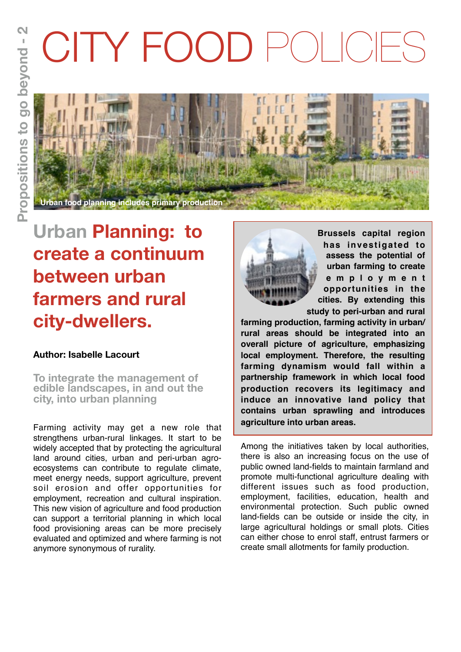# CITY FOOD POLICIES



# **Urban Planning: to create a continuum between urban farmers and rural city-dwellers.**

## **Author: Isabelle Lacourt**

**To integrate the management of edible landscapes, in and out the city, into urban planning**

Farming activity may get a new role that strengthens urban-rural linkages. It start to be widely accepted that by protecting the agricultural land around cities, urban and peri-urban agroecosystems can contribute to regulate climate, meet energy needs, support agriculture, prevent soil erosion and offer opportunities for employment, recreation and cultural inspiration. This new vision of agriculture and food production can support a territorial planning in which local food provisioning areas can be more precisely evaluated and optimized and where farming is not anymore synonymous of rurality.



**Brussels capital region has investigated to assess the potential of urban farming to create e m p l o y m e n t opportunities in the cities. By extending this study to peri-urban and rural** 

**farming production, farming activity in urban/ rural areas should be integrated into an overall picture of agriculture, emphasizing local employment. Therefore, the resulting farming dynamism would fall within a partnership framework in which local food production recovers its legitimacy and induce an innovative land policy that contains urban sprawling and introduces agriculture into urban areas.**

Among the initiatives taken by local authorities, there is also an increasing focus on the use of public owned land-fields to maintain farmland and promote multi-functional agriculture dealing with different issues such as food production, employment, facilities, education, health and environmental protection. Such public owned land-fields can be outside or inside the city, in large agricultural holdings or small plots. Cities can either chose to enrol staff, entrust farmers or create small allotments for family production.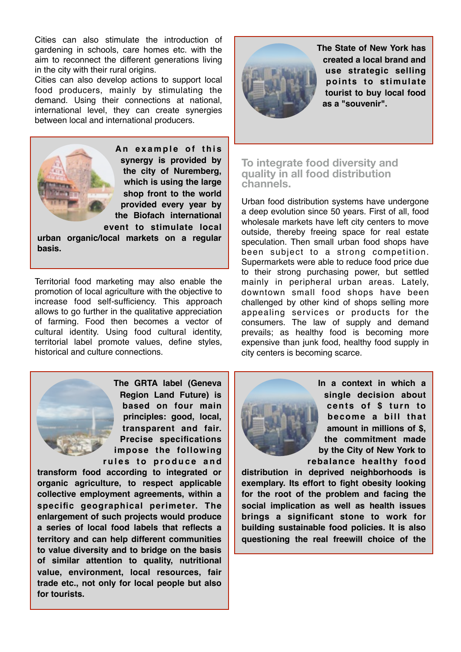Cities can also stimulate the introduction of gardening in schools, care homes etc. with the aim to reconnect the different generations living in the city with their rural origins.

Cities can also develop actions to support local food producers, mainly by stimulating the demand. Using their connections at national, international level, they can create synergies between local and international producers.



An example of this **synergy is provided by the city of Nuremberg, which is using the large shop front to the world provided every year by the Biofach international event to stimulate local** 

**urban organic/local markets on a regular basis.** 

Territorial food marketing may also enable the promotion of local agriculture with the objective to increase food self-sufficiency. This approach allows to go further in the qualitative appreciation of farming. Food then becomes a vector of cultural identity. Using food cultural identity, territorial label promote values, define styles, historical and culture connections.



**The GRTA label (Geneva Region Land Future) is based on four main principles: good, local, transparent and fair. Precise specifications impose the following**  rules to produce and

**transform food according to integrated or organic agriculture, to respect applicable collective employment agreements, within a specific geographical perimeter. The enlargement of such projects would produce a series of local food labels that reflects a territory and can help different communities to value diversity and to bridge on the basis of similar attention to quality, nutritional value, environment, local resources, fair trade etc., not only for local people but also for tourists.** 



**The State of New York has created a local brand and use strategic selling points to stimulate tourist to buy local food as a "souvenir".**

**To integrate food diversity and quality in all food distribution channels.** 

Urban food distribution systems have undergone a deep evolution since 50 years. First of all, food wholesale markets have left city centers to move outside, thereby freeing space for real estate speculation. Then small urban food shops have been subject to a strong competition. Supermarkets were able to reduce food price due to their strong purchasing power, but settled mainly in peripheral urban areas. Lately, downtown small food shops have been challenged by other kind of shops selling more appealing services or products for the consumers. The law of supply and demand prevails; as healthy food is becoming more expensive than junk food, healthy food supply in city centers is becoming scarce.



**In a context in which a single decision about cents of \$ turn to become a bill that amount in millions of \$, the commitment made by the City of New York to rebalance healthy food** 

**distribution in deprived neighborhoods is exemplary. Its effort to fight obesity looking for the root of the problem and facing the social implication as well as health issues brings a significant stone to work for building sustainable food policies. It is also questioning the real freewill choice of the**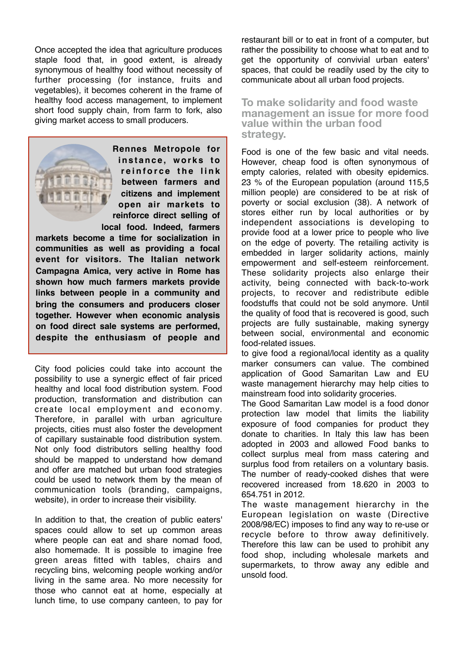Once accepted the idea that agriculture produces staple food that, in good extent, is already synonymous of healthy food without necessity of further processing (for instance, fruits and vegetables), it becomes coherent in the frame of healthy food access management, to implement short food supply chain, from farm to fork, also giving market access to small producers.



**Rennes Metropole for i n s t a n c e , w o r k s t o**  reinforce the link **between farmers and citizens and implement open air markets to reinforce direct selling of local food. Indeed, farmers** 

**markets become a time for socialization in communities as well as providing a focal event for visitors. The Italian network Campagna Amica, very active in Rome has shown how much farmers markets provide links between people in a community and bring the consumers and producers closer together. However when economic analysis on food direct sale systems are performed, despite the enthusiasm of people and** 

City food policies could take into account the possibility to use a synergic effect of fair priced healthy and local food distribution system. Food production, transformation and distribution can create local employment and economy. Therefore, in parallel with urban agriculture projects, cities must also foster the development of capillary sustainable food distribution system. Not only food distributors selling healthy food should be mapped to understand how demand and offer are matched but urban food strategies could be used to network them by the mean of communication tools (branding, campaigns, website), in order to increase their visibility.

In addition to that, the creation of public eaters' spaces could allow to set up common areas where people can eat and share nomad food, also homemade. It is possible to imagine free green areas fitted with tables, chairs and recycling bins, welcoming people working and/or living in the same area. No more necessity for those who cannot eat at home, especially at lunch time, to use company canteen, to pay for

restaurant bill or to eat in front of a computer, but rather the possibility to choose what to eat and to get the opportunity of convivial urban eaters' spaces, that could be readily used by the city to communicate about all urban food projects.

#### **To make solidarity and food waste management an issue for more food value within the urban food strategy.**

Food is one of the few basic and vital needs. However, cheap food is often synonymous of empty calories, related with obesity epidemics. 23 % of the European population (around 115,5 million people) are considered to be at risk of poverty or social exclusion (38). A network of stores either run by local authorities or by independent associations is developing to provide food at a lower price to people who live on the edge of poverty. The retailing activity is embedded in larger solidarity actions, mainly empowerment and self-esteem reinforcement. These solidarity projects also enlarge their activity, being connected with back-to-work projects, to recover and redistribute edible foodstuffs that could not be sold anymore. Until the quality of food that is recovered is good, such projects are fully sustainable, making synergy between social, environmental and economic food-related issues.

to give food a regional/local identity as a quality marker consumers can value. The combined application of Good Samaritan Law and EU waste management hierarchy may help cities to mainstream food into solidarity groceries.

The Good Samaritan Law model is a food donor protection law model that limits the liability exposure of food companies for product they donate to charities. In Italy this law has been adopted in 2003 and allowed Food banks to collect surplus meal from mass catering and surplus food from retailers on a voluntary basis. The number of ready-cooked dishes that were recovered increased from 18.620 in 2003 to 654.751 in 2012.

The waste management hierarchy in the European legislation on waste (Directive 2008/98/EC) imposes to find any way to re-use or recycle before to throw away definitively. Therefore this law can be used to prohibit any food shop, including wholesale markets and supermarkets, to throw away any edible and unsold food.